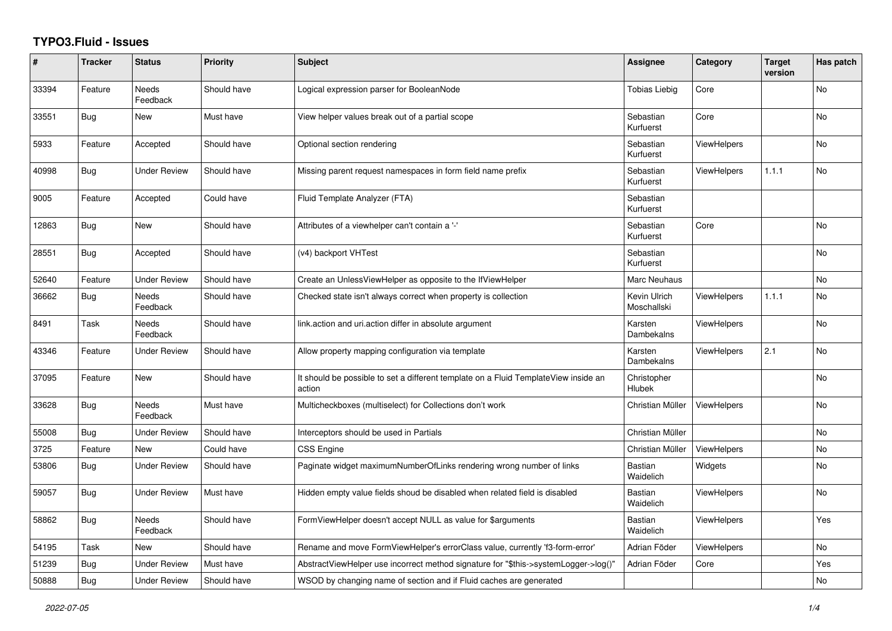## **TYPO3.Fluid - Issues**

| #     | <b>Tracker</b> | <b>Status</b>            | <b>Priority</b> | <b>Subject</b>                                                                                | <b>Assignee</b>             | Category           | <b>Target</b><br>version | Has patch |
|-------|----------------|--------------------------|-----------------|-----------------------------------------------------------------------------------------------|-----------------------------|--------------------|--------------------------|-----------|
| 33394 | Feature        | <b>Needs</b><br>Feedback | Should have     | Logical expression parser for BooleanNode                                                     | <b>Tobias Liebig</b>        | Core               |                          | <b>No</b> |
| 33551 | Bug            | <b>New</b>               | Must have       | View helper values break out of a partial scope                                               | Sebastian<br>Kurfuerst      | Core               |                          | <b>No</b> |
| 5933  | Feature        | Accepted                 | Should have     | Optional section rendering                                                                    | Sebastian<br>Kurfuerst      | <b>ViewHelpers</b> |                          | No        |
| 40998 | <b>Bug</b>     | <b>Under Review</b>      | Should have     | Missing parent request namespaces in form field name prefix                                   | Sebastian<br>Kurfuerst      | <b>ViewHelpers</b> | 1.1.1                    | No        |
| 9005  | Feature        | Accepted                 | Could have      | Fluid Template Analyzer (FTA)                                                                 | Sebastian<br>Kurfuerst      |                    |                          |           |
| 12863 | <b>Bug</b>     | New                      | Should have     | Attributes of a viewhelper can't contain a '-'                                                | Sebastian<br>Kurfuerst      | Core               |                          | <b>No</b> |
| 28551 | <b>Bug</b>     | Accepted                 | Should have     | (v4) backport VHTest                                                                          | Sebastian<br>Kurfuerst      |                    |                          | No        |
| 52640 | Feature        | <b>Under Review</b>      | Should have     | Create an UnlessViewHelper as opposite to the IfViewHelper                                    | Marc Neuhaus                |                    |                          | <b>No</b> |
| 36662 | <b>Bug</b>     | Needs<br>Feedback        | Should have     | Checked state isn't always correct when property is collection                                | Kevin Ulrich<br>Moschallski | <b>ViewHelpers</b> | 1.1.1                    | <b>No</b> |
| 8491  | Task           | Needs<br>Feedback        | Should have     | link.action and uri.action differ in absolute argument                                        | Karsten<br>Dambekalns       | <b>ViewHelpers</b> |                          | No        |
| 43346 | Feature        | <b>Under Review</b>      | Should have     | Allow property mapping configuration via template                                             | Karsten<br>Dambekalns       | ViewHelpers        | 2.1                      | <b>No</b> |
| 37095 | Feature        | New                      | Should have     | It should be possible to set a different template on a Fluid TemplateView inside an<br>action | Christopher<br>Hlubek       |                    |                          | <b>No</b> |
| 33628 | Bug            | Needs<br>Feedback        | Must have       | Multicheckboxes (multiselect) for Collections don't work                                      | Christian Müller            | <b>ViewHelpers</b> |                          | <b>No</b> |
| 55008 | Bug            | <b>Under Review</b>      | Should have     | Interceptors should be used in Partials                                                       | Christian Müller            |                    |                          | <b>No</b> |
| 3725  | Feature        | New                      | Could have      | <b>CSS Engine</b>                                                                             | Christian Müller            | <b>ViewHelpers</b> |                          | No        |
| 53806 | <b>Bug</b>     | <b>Under Review</b>      | Should have     | Paginate widget maximumNumberOfLinks rendering wrong number of links                          | Bastian<br>Waidelich        | Widgets            |                          | <b>No</b> |
| 59057 | <b>Bug</b>     | <b>Under Review</b>      | Must have       | Hidden empty value fields shoud be disabled when related field is disabled                    | <b>Bastian</b><br>Waidelich | <b>ViewHelpers</b> |                          | No        |
| 58862 | <b>Bug</b>     | Needs<br>Feedback        | Should have     | FormViewHelper doesn't accept NULL as value for \$arguments                                   | <b>Bastian</b><br>Waidelich | <b>ViewHelpers</b> |                          | Yes       |
| 54195 | Task           | New                      | Should have     | Rename and move FormViewHelper's errorClass value, currently 'f3-form-error'                  | Adrian Föder                | ViewHelpers        |                          | <b>No</b> |
| 51239 | Bug            | <b>Under Review</b>      | Must have       | AbstractViewHelper use incorrect method signature for "\$this->systemLogger->log()"           | Adrian Föder                | Core               |                          | Yes       |
| 50888 | <b>Bug</b>     | <b>Under Review</b>      | Should have     | WSOD by changing name of section and if Fluid caches are generated                            |                             |                    |                          | <b>No</b> |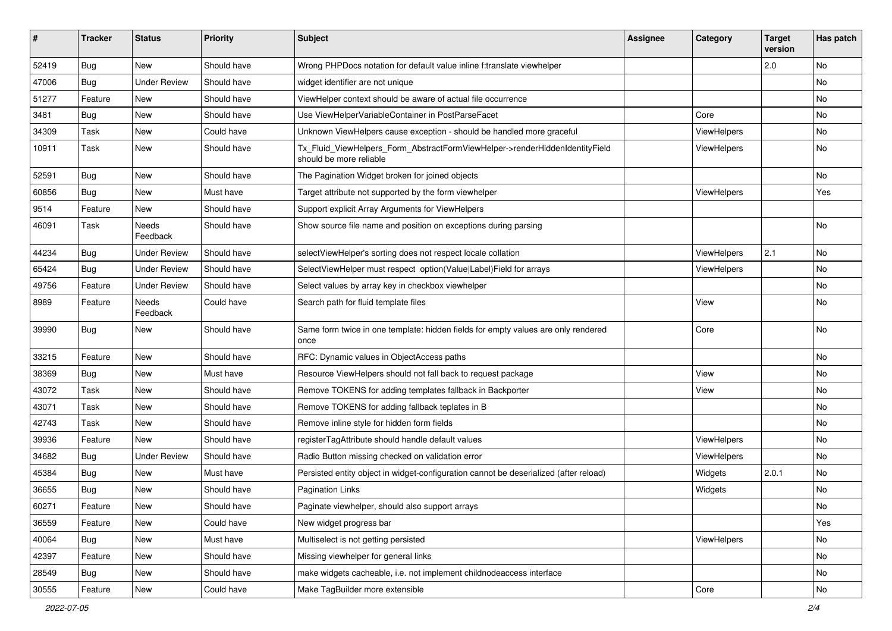| ∦     | <b>Tracker</b> | <b>Status</b>       | <b>Priority</b> | <b>Subject</b>                                                                                         | <b>Assignee</b> | Category    | <b>Target</b><br>version | Has patch |
|-------|----------------|---------------------|-----------------|--------------------------------------------------------------------------------------------------------|-----------------|-------------|--------------------------|-----------|
| 52419 | Bug            | New                 | Should have     | Wrong PHPDocs notation for default value inline f:translate viewhelper                                 |                 |             | 2.0                      | No        |
| 47006 | Bug            | <b>Under Review</b> | Should have     | widget identifier are not unique                                                                       |                 |             |                          | No        |
| 51277 | Feature        | New                 | Should have     | ViewHelper context should be aware of actual file occurrence                                           |                 |             |                          | No        |
| 3481  | <b>Bug</b>     | New                 | Should have     | Use ViewHelperVariableContainer in PostParseFacet                                                      |                 | Core        |                          | No        |
| 34309 | Task           | New                 | Could have      | Unknown ViewHelpers cause exception - should be handled more graceful                                  |                 | ViewHelpers |                          | No        |
| 10911 | Task           | New                 | Should have     | Tx_Fluid_ViewHelpers_Form_AbstractFormViewHelper->renderHiddenIdentityField<br>should be more reliable |                 | ViewHelpers |                          | No        |
| 52591 | <b>Bug</b>     | New                 | Should have     | The Pagination Widget broken for joined objects                                                        |                 |             |                          | No        |
| 60856 | Bug            | New                 | Must have       | Target attribute not supported by the form viewhelper                                                  |                 | ViewHelpers |                          | Yes       |
| 9514  | Feature        | New                 | Should have     | Support explicit Array Arguments for ViewHelpers                                                       |                 |             |                          |           |
| 46091 | Task           | Needs<br>Feedback   | Should have     | Show source file name and position on exceptions during parsing                                        |                 |             |                          | No        |
| 44234 | Bug            | <b>Under Review</b> | Should have     | selectViewHelper's sorting does not respect locale collation                                           |                 | ViewHelpers | 2.1                      | No        |
| 65424 | Bug            | <b>Under Review</b> | Should have     | SelectViewHelper must respect option(Value Label)Field for arrays                                      |                 | ViewHelpers |                          | No        |
| 49756 | Feature        | <b>Under Review</b> | Should have     | Select values by array key in checkbox viewhelper                                                      |                 |             |                          | No        |
| 8989  | Feature        | Needs<br>Feedback   | Could have      | Search path for fluid template files                                                                   |                 | View        |                          | No        |
| 39990 | Bug            | New                 | Should have     | Same form twice in one template: hidden fields for empty values are only rendered<br>once              |                 | Core        |                          | No        |
| 33215 | Feature        | New                 | Should have     | RFC: Dynamic values in ObjectAccess paths                                                              |                 |             |                          | No        |
| 38369 | Bug            | New                 | Must have       | Resource ViewHelpers should not fall back to request package                                           |                 | View        |                          | No        |
| 43072 | Task           | New                 | Should have     | Remove TOKENS for adding templates fallback in Backporter                                              |                 | View        |                          | No        |
| 43071 | Task           | New                 | Should have     | Remove TOKENS for adding fallback teplates in B                                                        |                 |             |                          | No        |
| 42743 | Task           | New                 | Should have     | Remove inline style for hidden form fields                                                             |                 |             |                          | No        |
| 39936 | Feature        | New                 | Should have     | registerTagAttribute should handle default values                                                      |                 | ViewHelpers |                          | No        |
| 34682 | Bug            | Under Review        | Should have     | Radio Button missing checked on validation error                                                       |                 | ViewHelpers |                          | No        |
| 45384 | Bug            | New                 | Must have       | Persisted entity object in widget-configuration cannot be deserialized (after reload)                  |                 | Widgets     | 2.0.1                    | No        |
| 36655 | Bug            | New                 | Should have     | Pagination Links                                                                                       |                 | Widgets     |                          | No        |
| 60271 | Feature        | New                 | Should have     | Paginate viewhelper, should also support arrays                                                        |                 |             |                          | No        |
| 36559 | Feature        | New                 | Could have      | New widget progress bar                                                                                |                 |             |                          | Yes       |
| 40064 | Bug            | New                 | Must have       | Multiselect is not getting persisted                                                                   |                 | ViewHelpers |                          | No        |
| 42397 | Feature        | New                 | Should have     | Missing viewhelper for general links                                                                   |                 |             |                          | No        |
| 28549 | Bug            | New                 | Should have     | make widgets cacheable, i.e. not implement childnodeaccess interface                                   |                 |             |                          | No        |
| 30555 | Feature        | New                 | Could have      | Make TagBuilder more extensible                                                                        |                 | Core        |                          | No        |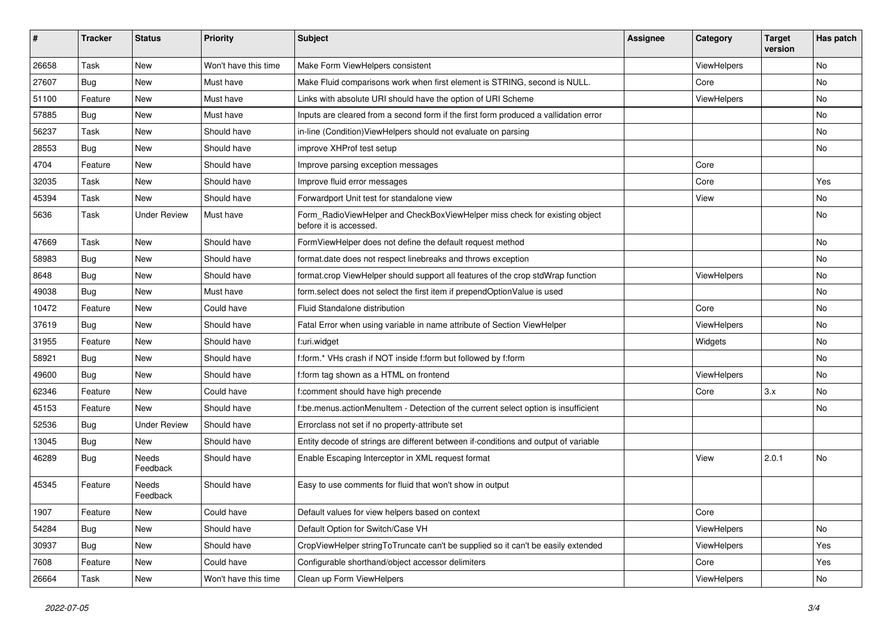| ∦     | <b>Tracker</b> | <b>Status</b>       | Priority             | Subject                                                                                              | <b>Assignee</b> | Category           | <b>Target</b><br>version | Has patch |
|-------|----------------|---------------------|----------------------|------------------------------------------------------------------------------------------------------|-----------------|--------------------|--------------------------|-----------|
| 26658 | Task           | New                 | Won't have this time | Make Form ViewHelpers consistent                                                                     |                 | ViewHelpers        |                          | <b>No</b> |
| 27607 | Bug            | New                 | Must have            | Make Fluid comparisons work when first element is STRING, second is NULL.                            |                 | Core               |                          | No        |
| 51100 | Feature        | New                 | Must have            | Links with absolute URI should have the option of URI Scheme                                         |                 | <b>ViewHelpers</b> |                          | No        |
| 57885 | Bug            | New                 | Must have            | Inputs are cleared from a second form if the first form produced a vallidation error                 |                 |                    |                          | <b>No</b> |
| 56237 | Task           | New                 | Should have          | in-line (Condition) View Helpers should not evaluate on parsing                                      |                 |                    |                          | No        |
| 28553 | Bug            | <b>New</b>          | Should have          | improve XHProf test setup                                                                            |                 |                    |                          | No        |
| 4704  | Feature        | New                 | Should have          | Improve parsing exception messages                                                                   |                 | Core               |                          |           |
| 32035 | Task           | New                 | Should have          | Improve fluid error messages                                                                         |                 | Core               |                          | Yes       |
| 45394 | Task           | New                 | Should have          | Forwardport Unit test for standalone view                                                            |                 | View               |                          | No        |
| 5636  | Task           | <b>Under Review</b> | Must have            | Form_RadioViewHelper and CheckBoxViewHelper miss check for existing object<br>before it is accessed. |                 |                    |                          | <b>No</b> |
| 47669 | Task           | <b>New</b>          | Should have          | FormViewHelper does not define the default request method                                            |                 |                    |                          | <b>No</b> |
| 58983 | Bug            | New                 | Should have          | format.date does not respect linebreaks and throws exception                                         |                 |                    |                          | No        |
| 8648  | Bug            | <b>New</b>          | Should have          | format.crop ViewHelper should support all features of the crop stdWrap function                      |                 | ViewHelpers        |                          | <b>No</b> |
| 49038 | Bug            | New                 | Must have            | form.select does not select the first item if prependOptionValue is used                             |                 |                    |                          | No        |
| 10472 | Feature        | New                 | Could have           | Fluid Standalone distribution                                                                        |                 | Core               |                          | No        |
| 37619 | Bug            | New                 | Should have          | Fatal Error when using variable in name attribute of Section ViewHelper                              |                 | ViewHelpers        |                          | <b>No</b> |
| 31955 | Feature        | New                 | Should have          | f:uri.widget                                                                                         |                 | Widgets            |                          | No        |
| 58921 | Bug            | New                 | Should have          | f:form.* VHs crash if NOT inside f:form but followed by f:form                                       |                 |                    |                          | <b>No</b> |
| 49600 | Bug            | New                 | Should have          | f:form tag shown as a HTML on frontend                                                               |                 | ViewHelpers        |                          | No        |
| 62346 | Feature        | New                 | Could have           | f:comment should have high precende                                                                  |                 | Core               | 3.x                      | <b>No</b> |
| 45153 | Feature        | <b>New</b>          | Should have          | f:be.menus.actionMenuItem - Detection of the current select option is insufficient                   |                 |                    |                          | No        |
| 52536 | Bug            | <b>Under Review</b> | Should have          | Errorclass not set if no property-attribute set                                                      |                 |                    |                          |           |
| 13045 | Bug            | New                 | Should have          | Entity decode of strings are different between if-conditions and output of variable                  |                 |                    |                          |           |
| 46289 | Bug            | Needs<br>Feedback   | Should have          | Enable Escaping Interceptor in XML request format                                                    |                 | View               | 2.0.1                    | <b>No</b> |
| 45345 | Feature        | Needs<br>Feedback   | Should have          | Easy to use comments for fluid that won't show in output                                             |                 |                    |                          |           |
| 1907  | Feature        | New                 | Could have           | Default values for view helpers based on context                                                     |                 | Core               |                          |           |
| 54284 | Bug            | New                 | Should have          | Default Option for Switch/Case VH                                                                    |                 | ViewHelpers        |                          | No        |
| 30937 | Bug            | New                 | Should have          | CropViewHelper stringToTruncate can't be supplied so it can't be easily extended                     |                 | ViewHelpers        |                          | Yes       |
| 7608  | Feature        | New                 | Could have           | Configurable shorthand/object accessor delimiters                                                    |                 | Core               |                          | Yes       |
| 26664 | Task           | New                 | Won't have this time | Clean up Form ViewHelpers                                                                            |                 | ViewHelpers        |                          | No        |